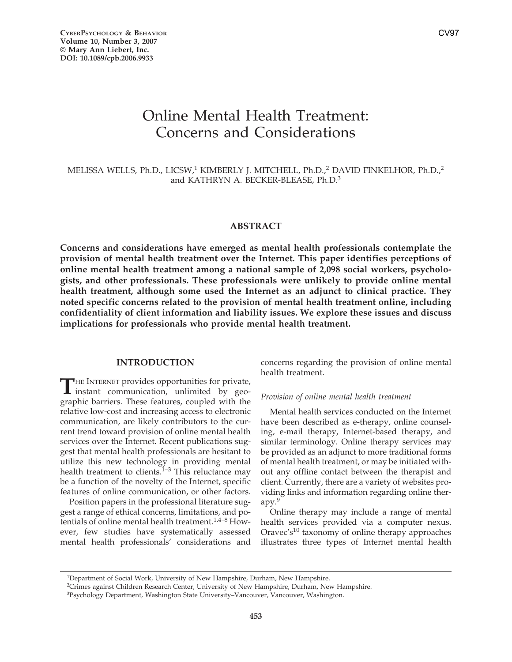# Online Mental Health Treatment: Concerns and Considerations

# MELISSA WELLS, Ph.D., LICSW,<sup>1</sup> KIMBERLY J. MITCHELL, Ph.D.,<sup>2</sup> DAVID FINKELHOR, Ph.D.,<sup>2</sup> and KATHRYN A. BECKER-BLEASE, Ph.D.3

# **ABSTRACT**

**Concerns and considerations have emerged as mental health professionals contemplate the provision of mental health treatment over the Internet. This paper identifies perceptions of online mental health treatment among a national sample of 2,098 social workers, psychologists, and other professionals. These professionals were unlikely to provide online mental health treatment, although some used the Internet as an adjunct to clinical practice. They noted specific concerns related to the provision of mental health treatment online, including confidentiality of client information and liability issues. We explore these issues and discuss implications for professionals who provide mental health treatment.**

# **INTRODUCTION**

THE INTERNET provides opportunities for private,<br>instant communication, unlimited by geographic barriers. These features, coupled with the relative low-cost and increasing access to electronic communication, are likely contributors to the current trend toward provision of online mental health services over the Internet. Recent publications suggest that mental health professionals are hesitant to utilize this new technology in providing mental health treatment to clients.<sup>1–3</sup> This reluctance may be a function of the novelty of the Internet, specific features of online communication, or other factors.

Position papers in the professional literature suggest a range of ethical concerns, limitations, and potentials of online mental health treatment. $1.4-8$  However, few studies have systematically assessed mental health professionals' considerations and

concerns regarding the provision of online mental health treatment.

## *Provision of online mental health treatment*

Mental health services conducted on the Internet have been described as e-therapy, online counseling, e-mail therapy, Internet-based therapy, and similar terminology. Online therapy services may be provided as an adjunct to more traditional forms of mental health treatment, or may be initiated without any offline contact between the therapist and client. Currently, there are a variety of websites providing links and information regarding online therapy.<sup>9</sup>

Online therapy may include a range of mental health services provided via a computer nexus. Oravec's<sup>10</sup> taxonomy of online therapy approaches illustrates three types of Internet mental health

<sup>&</sup>lt;sup>1</sup>Department of Social Work, University of New Hampshire, Durham, New Hampshire.

<sup>2</sup>Crimes against Children Research Center, University of New Hampshire, Durham, New Hampshire.

<sup>3</sup>Psychology Department, Washington State University–Vancouver, Vancouver, Washington.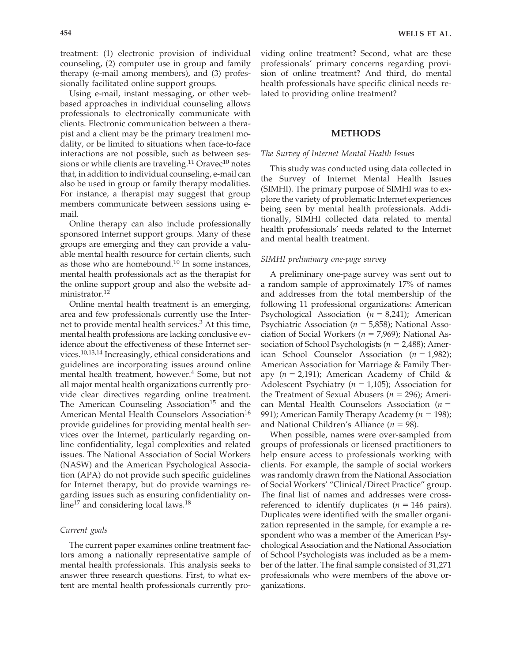treatment: (1) electronic provision of individual counseling, (2) computer use in group and family therapy (e-mail among members), and (3) professionally facilitated online support groups.

Using e-mail, instant messaging, or other webbased approaches in individual counseling allows professionals to electronically communicate with clients. Electronic communication between a therapist and a client may be the primary treatment modality, or be limited to situations when face-to-face interactions are not possible, such as between sessions or while clients are traveling.<sup>11</sup> Oravec<sup>10</sup> notes that, in addition to individual counseling, e-mail can also be used in group or family therapy modalities. For instance, a therapist may suggest that group members communicate between sessions using email.

Online therapy can also include professionally sponsored Internet support groups. Many of these groups are emerging and they can provide a valuable mental health resource for certain clients, such as those who are homebound.10 In some instances, mental health professionals act as the therapist for the online support group and also the website administrator.<sup>12</sup>

Online mental health treatment is an emerging, area and few professionals currently use the Internet to provide mental health services. $3$  At this time, mental health professions are lacking conclusive evidence about the effectiveness of these Internet services.10,13,14 Increasingly, ethical considerations and guidelines are incorporating issues around online mental health treatment, however.<sup>4</sup> Some, but not all major mental health organizations currently provide clear directives regarding online treatment. The American Counseling Association<sup>15</sup> and the American Mental Health Counselors Association<sup>16</sup> provide guidelines for providing mental health services over the Internet, particularly regarding online confidentiality, legal complexities and related issues. The National Association of Social Workers (NASW) and the American Psychological Association (APA) do not provide such specific guidelines for Internet therapy, but do provide warnings regarding issues such as ensuring confidentiality online<sup>17</sup> and considering local laws.<sup>18</sup>

## *Current goals*

The current paper examines online treatment factors among a nationally representative sample of mental health professionals. This analysis seeks to answer three research questions. First, to what extent are mental health professionals currently providing online treatment? Second, what are these professionals' primary concerns regarding provision of online treatment? And third, do mental health professionals have specific clinical needs related to providing online treatment?

## **METHODS**

## *The Survey of Internet Mental Health Issues*

This study was conducted using data collected in the Survey of Internet Mental Health Issues (SIMHI). The primary purpose of SIMHI was to explore the variety of problematic Internet experiences being seen by mental health professionals. Additionally, SIMHI collected data related to mental health professionals' needs related to the Internet and mental health treatment.

## *SIMHI preliminary one-page survey*

A preliminary one-page survey was sent out to a random sample of approximately 17% of names and addresses from the total membership of the following 11 professional organizations: American Psychological Association  $(n = 8,241)$ ; American Psychiatric Association ( $n = 5,858$ ); National Association of Social Workers ( $n = 7,969$ ); National Association of School Psychologists ( $n = 2,488$ ); American School Counselor Association  $(n = 1,982)$ ; American Association for Marriage & Family Therapy  $(n = 2,191)$ ; American Academy of Child & Adolescent Psychiatry  $(n = 1,105)$ ; Association for the Treatment of Sexual Abusers ( $n = 296$ ); American Mental Health Counselors Association  $(n =$ 991); American Family Therapy Academy ( $n = 198$ ); and National Children's Alliance  $(n = 98)$ .

When possible, names were over-sampled from groups of professionals or licensed practitioners to help ensure access to professionals working with clients. For example, the sample of social workers was randomly drawn from the National Association of Social Workers' "Clinical/Direct Practice" group. The final list of names and addresses were crossreferenced to identify duplicates  $(n = 146 \text{ pairs})$ . Duplicates were identified with the smaller organization represented in the sample, for example a respondent who was a member of the American Psychological Association and the National Association of School Psychologists was included as be a member of the latter. The final sample consisted of 31,271 professionals who were members of the above organizations.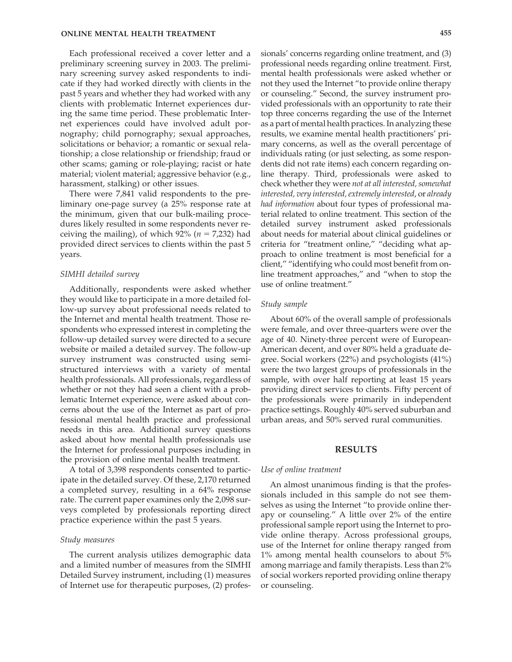Each professional received a cover letter and a preliminary screening survey in 2003. The preliminary screening survey asked respondents to indicate if they had worked directly with clients in the past 5 years and whether they had worked with any clients with problematic Internet experiences during the same time period. These problematic Internet experiences could have involved adult pornography; child pornography; sexual approaches, solicitations or behavior; a romantic or sexual relationship; a close relationship or friendship; fraud or other scams; gaming or role-playing; racist or hate material; violent material; aggressive behavior (e.g., harassment, stalking) or other issues.

There were 7,841 valid respondents to the preliminary one-page survey (a 25% response rate at the minimum, given that our bulk-mailing procedures likely resulted in some respondents never receiving the mailing), of which  $92\%$  ( $n = 7,232$ ) had provided direct services to clients within the past 5 years.

## *SIMHI detailed survey*

Additionally, respondents were asked whether they would like to participate in a more detailed follow-up survey about professional needs related to the Internet and mental health treatment. Those respondents who expressed interest in completing the follow-up detailed survey were directed to a secure website or mailed a detailed survey. The follow-up survey instrument was constructed using semistructured interviews with a variety of mental health professionals. All professionals, regardless of whether or not they had seen a client with a problematic Internet experience, were asked about concerns about the use of the Internet as part of professional mental health practice and professional needs in this area. Additional survey questions asked about how mental health professionals use the Internet for professional purposes including in the provision of online mental health treatment.

A total of 3,398 respondents consented to participate in the detailed survey. Of these, 2,170 returned a completed survey, resulting in a 64% response rate. The current paper examines only the 2,098 surveys completed by professionals reporting direct practice experience within the past 5 years.

## *Study measures*

The current analysis utilizes demographic data and a limited number of measures from the SIMHI Detailed Survey instrument, including (1) measures of Internet use for therapeutic purposes, (2) professionals' concerns regarding online treatment, and (3) professional needs regarding online treatment. First, mental health professionals were asked whether or not they used the Internet "to provide online therapy or counseling." Second, the survey instrument provided professionals with an opportunity to rate their top three concerns regarding the use of the Internet as a part of mental health practices. In analyzing these results, we examine mental health practitioners' primary concerns, as well as the overall percentage of individuals rating (or just selecting, as some respondents did not rate items) each concern regarding online therapy. Third, professionals were asked to check whether they were *not at all interested, somewhat interested, very interested, extremely interested*, or *already had information* about four types of professional material related to online treatment. This section of the detailed survey instrument asked professionals about needs for material about clinical guidelines or criteria for "treatment online," "deciding what approach to online treatment is most beneficial for a client," "identifying who could most benefit from online treatment approaches," and "when to stop the use of online treatment."

## *Study sample*

About 60% of the overall sample of professionals were female, and over three-quarters were over the age of 40. Ninety-three percent were of European-American decent, and over 80% held a graduate degree. Social workers (22%) and psychologists (41%) were the two largest groups of professionals in the sample, with over half reporting at least 15 years providing direct services to clients. Fifty percent of the professionals were primarily in independent practice settings. Roughly 40% served suburban and urban areas, and 50% served rural communities.

## **RESULTS**

#### *Use of online treatment*

An almost unanimous finding is that the professionals included in this sample do not see themselves as using the Internet "to provide online therapy or counseling." A little over 2% of the entire professional sample report using the Internet to provide online therapy. Across professional groups, use of the Internet for online therapy ranged from 1% among mental health counselors to about 5% among marriage and family therapists. Less than 2% of social workers reported providing online therapy or counseling.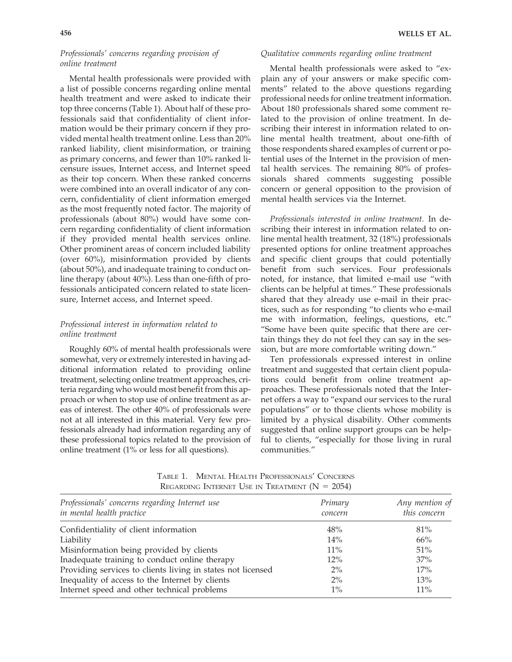# *Professionals' concerns regarding provision of online treatment*

Mental health professionals were provided with a list of possible concerns regarding online mental health treatment and were asked to indicate their top three concerns (Table 1). About half of these professionals said that confidentiality of client information would be their primary concern if they provided mental health treatment online. Less than 20% ranked liability, client misinformation, or training as primary concerns, and fewer than 10% ranked licensure issues, Internet access, and Internet speed as their top concern. When these ranked concerns were combined into an overall indicator of any concern, confidentiality of client information emerged as the most frequently noted factor. The majority of professionals (about 80%) would have some concern regarding confidentiality of client information if they provided mental health services online. Other prominent areas of concern included liability (over 60%), misinformation provided by clients (about 50%), and inadequate training to conduct online therapy (about 40%). Less than one-fifth of professionals anticipated concern related to state licensure, Internet access, and Internet speed.

# *Professional interest in information related to online treatment*

Roughly 60% of mental health professionals were somewhat, very or extremely interested in having additional information related to providing online treatment, selecting online treatment approaches, criteria regarding who would most benefit from this approach or when to stop use of online treatment as areas of interest. The other 40% of professionals were not at all interested in this material. Very few professionals already had information regarding any of these professional topics related to the provision of online treatment (1% or less for all questions).

# *Qualitative comments regarding online treatment*

Mental health professionals were asked to "explain any of your answers or make specific comments" related to the above questions regarding professional needs for online treatment information. About 180 professionals shared some comment related to the provision of online treatment. In describing their interest in information related to online mental health treatment, about one-fifth of those respondents shared examples of current or potential uses of the Internet in the provision of mental health services. The remaining 80% of professionals shared comments suggesting possible concern or general opposition to the provision of mental health services via the Internet.

*Professionals interested in online treatment.* In describing their interest in information related to online mental health treatment, 32 (18%) professionals presented options for online treatment approaches and specific client groups that could potentially benefit from such services. Four professionals noted, for instance, that limited e-mail use "with clients can be helpful at times." These professionals shared that they already use e-mail in their practices, such as for responding "to clients who e-mail me with information, feelings, questions, etc." "Some have been quite specific that there are certain things they do not feel they can say in the session, but are more comfortable writing down."

Ten professionals expressed interest in online treatment and suggested that certain client populations could benefit from online treatment approaches. These professionals noted that the Internet offers a way to "expand our services to the rural populations" or to those clients whose mobility is limited by a physical disability. Other comments suggested that online support groups can be helpful to clients, "especially for those living in rural communities."

TABLE 1. MENTAL HEALTH PROFESSIONALS' CONCERNS REGARDING INTERNET USE IN TREATMENT  $(N = 2054)$ 

| Professionals' concerns regarding Internet use<br>in mental health practice | Primary<br>concern | Any mention of<br>this concern |
|-----------------------------------------------------------------------------|--------------------|--------------------------------|
| Confidentiality of client information                                       | 48%                | 81%                            |
| Liability                                                                   | 14%                | 66%                            |
| Misinformation being provided by clients                                    | $11\%$             | 51%                            |
| Inadequate training to conduct online therapy                               | $12\%$             | 37%                            |
| Providing services to clients living in states not licensed                 | $2\%$              | 17%                            |
| Inequality of access to the Internet by clients                             | $2\%$              | 13%                            |
| Internet speed and other technical problems                                 | $1\%$              | $11\%$                         |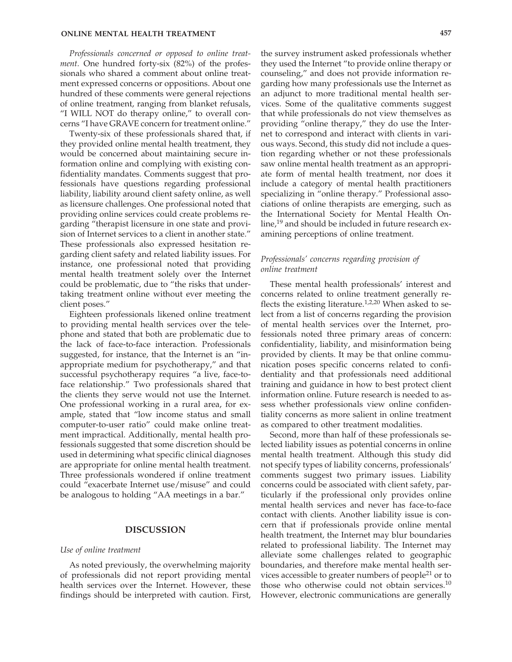*Professionals concerned or opposed to online treatment.* One hundred forty-six (82%) of the professionals who shared a comment about online treatment expressed concerns or oppositions. About one hundred of these comments were general rejections of online treatment, ranging from blanket refusals, "I WILL NOT do therapy online," to overall concerns "I have GRAVE concern for treatment online."

Twenty-six of these professionals shared that, if they provided online mental health treatment, they would be concerned about maintaining secure information online and complying with existing confidentiality mandates. Comments suggest that professionals have questions regarding professional liability, liability around client safety online, as well as licensure challenges. One professional noted that providing online services could create problems regarding "therapist licensure in one state and provision of Internet services to a client in another state." These professionals also expressed hesitation regarding client safety and related liability issues. For instance, one professional noted that providing mental health treatment solely over the Internet could be problematic, due to "the risks that undertaking treatment online without ever meeting the client poses."

Eighteen professionals likened online treatment to providing mental health services over the telephone and stated that both are problematic due to the lack of face-to-face interaction. Professionals suggested, for instance, that the Internet is an "inappropriate medium for psychotherapy," and that successful psychotherapy requires "a live, face-toface relationship." Two professionals shared that the clients they serve would not use the Internet. One professional working in a rural area, for example, stated that "low income status and small computer-to-user ratio" could make online treatment impractical. Additionally, mental health professionals suggested that some discretion should be used in determining what specific clinical diagnoses are appropriate for online mental health treatment. Three professionals wondered if online treatment could "exacerbate Internet use/misuse" and could be analogous to holding "AA meetings in a bar."

# **DISCUSSION**

## *Use of online treatment*

As noted previously, the overwhelming majority of professionals did not report providing mental health services over the Internet. However, these findings should be interpreted with caution. First,

the survey instrument asked professionals whether they used the Internet "to provide online therapy or counseling," and does not provide information regarding how many professionals use the Internet as an adjunct to more traditional mental health services. Some of the qualitative comments suggest that while professionals do not view themselves as providing "online therapy," they do use the Internet to correspond and interact with clients in various ways. Second, this study did not include a question regarding whether or not these professionals saw online mental health treatment as an appropriate form of mental health treatment, nor does it include a category of mental health practitioners specializing in "online therapy." Professional associations of online therapists are emerging, such as the International Society for Mental Health Online,<sup>19</sup> and should be included in future research examining perceptions of online treatment.

# *Professionals' concerns regarding provision of online treatment*

These mental health professionals' interest and concerns related to online treatment generally reflects the existing literature.<sup>1,2,20</sup> When asked to select from a list of concerns regarding the provision of mental health services over the Internet, professionals noted three primary areas of concern: confidentiality, liability, and misinformation being provided by clients. It may be that online communication poses specific concerns related to confidentiality and that professionals need additional training and guidance in how to best protect client information online. Future research is needed to assess whether professionals view online confidentiality concerns as more salient in online treatment as compared to other treatment modalities.

Second, more than half of these professionals selected liability issues as potential concerns in online mental health treatment. Although this study did not specify types of liability concerns, professionals' comments suggest two primary issues. Liability concerns could be associated with client safety, particularly if the professional only provides online mental health services and never has face-to-face contact with clients. Another liability issue is concern that if professionals provide online mental health treatment, the Internet may blur boundaries related to professional liability. The Internet may alleviate some challenges related to geographic boundaries, and therefore make mental health services accessible to greater numbers of people<sup>21</sup> or to those who otherwise could not obtain services.<sup>10</sup> However, electronic communications are generally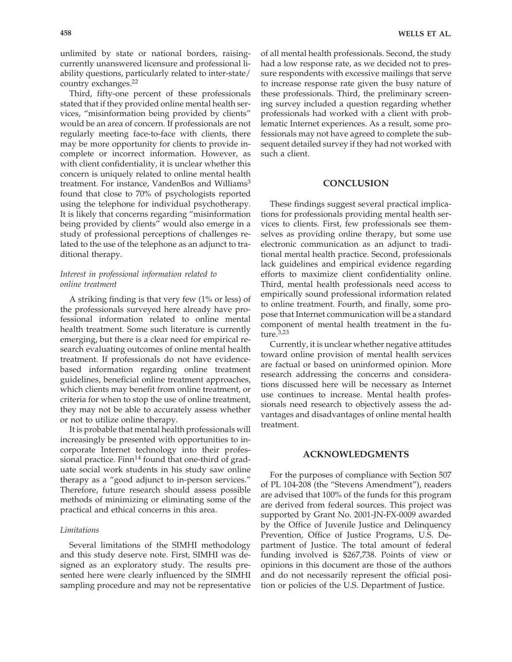unlimited by state or national borders, raisingcurrently unanswered licensure and professional liability questions, particularly related to inter-state/ country exchanges.22

Third, fifty-one percent of these professionals stated that if they provided online mental health services, "misinformation being provided by clients" would be an area of concern. If professionals are not regularly meeting face-to-face with clients, there may be more opportunity for clients to provide incomplete or incorrect information. However, as with client confidentiality, it is unclear whether this concern is uniquely related to online mental health treatment. For instance, VandenBos and Williams<sup>3</sup> found that close to 70% of psychologists reported using the telephone for individual psychotherapy. It is likely that concerns regarding "misinformation being provided by clients" would also emerge in a study of professional perceptions of challenges related to the use of the telephone as an adjunct to traditional therapy.

# *Interest in professional information related to online treatment*

A striking finding is that very few (1% or less) of the professionals surveyed here already have professional information related to online mental health treatment. Some such literature is currently emerging, but there is a clear need for empirical research evaluating outcomes of online mental health treatment. If professionals do not have evidencebased information regarding online treatment guidelines, beneficial online treatment approaches, which clients may benefit from online treatment, or criteria for when to stop the use of online treatment, they may not be able to accurately assess whether or not to utilize online therapy.

It is probable that mental health professionals will increasingly be presented with opportunities to incorporate Internet technology into their professional practice. Finn<sup>14</sup> found that one-third of graduate social work students in his study saw online therapy as a "good adjunct to in-person services." Therefore, future research should assess possible methods of minimizing or eliminating some of the practical and ethical concerns in this area.

# *Limitations*

Several limitations of the SIMHI methodology and this study deserve note. First, SIMHI was designed as an exploratory study. The results presented here were clearly influenced by the SIMHI sampling procedure and may not be representative of all mental health professionals. Second, the study had a low response rate, as we decided not to pressure respondents with excessive mailings that serve to increase response rate given the busy nature of these professionals. Third, the preliminary screening survey included a question regarding whether professionals had worked with a client with problematic Internet experiences. As a result, some professionals may not have agreed to complete the subsequent detailed survey if they had not worked with such a client.

# **CONCLUSION**

These findings suggest several practical implications for professionals providing mental health services to clients. First, few professionals see themselves as providing online therapy, but some use electronic communication as an adjunct to traditional mental health practice. Second, professionals lack guidelines and empirical evidence regarding efforts to maximize client confidentiality online. Third, mental health professionals need access to empirically sound professional information related to online treatment. Fourth, and finally, some propose that Internet communication will be a standard component of mental health treatment in the future.3,23

Currently, it is unclear whether negative attitudes toward online provision of mental health services are factual or based on uninformed opinion. More research addressing the concerns and considerations discussed here will be necessary as Internet use continues to increase. Mental health professionals need research to objectively assess the advantages and disadvantages of online mental health treatment.

# **ACKNOWLEDGMENTS**

For the purposes of compliance with Section 507 of PL 104-208 (the "Stevens Amendment"), readers are advised that 100% of the funds for this program are derived from federal sources. This project was supported by Grant No. 2001-JN-FX-0009 awarded by the Office of Juvenile Justice and Delinquency Prevention, Office of Justice Programs, U.S. Department of Justice. The total amount of federal funding involved is \$267,738. Points of view or opinions in this document are those of the authors and do not necessarily represent the official position or policies of the U.S. Department of Justice.